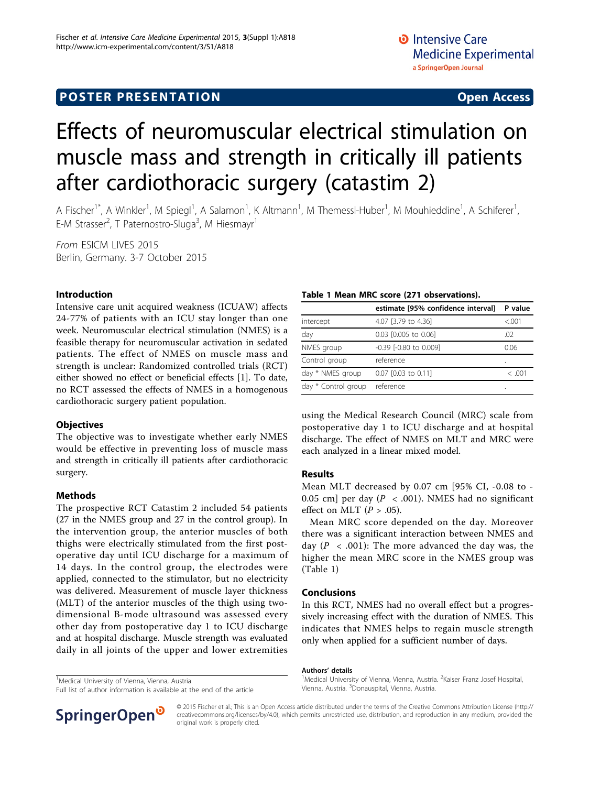# Effects of neuromuscular electrical stimulation on muscle mass and strength in critically ill patients after cardiothoracic surgery (catastim 2)

A Fischer<sup>1\*</sup>, A Winkler<sup>1</sup>, M Spiegl<sup>1</sup>, A Salamon<sup>1</sup>, K Altmann<sup>1</sup>, M Themessl-Huber<sup>1</sup>, M Mouhieddine<sup>1</sup>, A Schiferer<sup>1</sup> , E-M Strasser<sup>2</sup>, T Paternostro-Sluga<sup>3</sup>, M Hiesmayr<sup>1</sup>

From ESICM LIVES 2015 Berlin, Germany. 3-7 October 2015

### Introduction

Intensive care unit acquired weakness (ICUAW) affects 24-77% of patients with an ICU stay longer than one week. Neuromuscular electrical stimulation (NMES) is a feasible therapy for neuromuscular activation in sedated patients. The effect of NMES on muscle mass and strength is unclear: Randomized controlled trials (RCT) either showed no effect or beneficial effects [[1\]](#page-1-0). To date, no RCT assessed the effects of NMES in a homogenous cardiothoracic surgery patient population.

#### **Objectives**

The objective was to investigate whether early NMES would be effective in preventing loss of muscle mass and strength in critically ill patients after cardiothoracic surgery.

#### Methods

The prospective RCT Catastim 2 included 54 patients (27 in the NMES group and 27 in the control group). In the intervention group, the anterior muscles of both thighs were electrically stimulated from the first postoperative day until ICU discharge for a maximum of 14 days. In the control group, the electrodes were applied, connected to the stimulator, but no electricity was delivered. Measurement of muscle layer thickness (MLT) of the anterior muscles of the thigh using twodimensional B-mode ultrasound was assessed every other day from postoperative day 1 to ICU discharge and at hospital discharge. Muscle strength was evaluated daily in all joints of the upper and lower extremities

<sup>1</sup>Medical University of Vienna, Vienna, Austria

Full list of author information is available at the end of the article

## Table 1 Mean MRC score (271 observations).

|                     | estimate [95% confidence interval] | P value |
|---------------------|------------------------------------|---------|
| intercept           | 4.07 [3.79 to 4.36]                | < 0.001 |
| day                 | 0.03 [0.005 to 0.06]               | .02     |
| NMES group          | -0.39 [-0.80 to 0.009]             | 0.06    |
| Control group       | reference                          | ٠       |
| day * NMES group    | 0.07 [0.03 to 0.11]                | <.001   |
| day * Control group | reference                          | ٠       |

using the Medical Research Council (MRC) scale from postoperative day 1 to ICU discharge and at hospital discharge. The effect of NMES on MLT and MRC were each analyzed in a linear mixed model.

#### Results

Mean MLT decreased by 0.07 cm [95% CI, -0.08 to - 0.05 cm] per day ( $P < .001$ ). NMES had no significant effect on MLT ( $P > .05$ ).

Mean MRC score depended on the day. Moreover there was a significant interaction between NMES and day ( $P < .001$ ): The more advanced the day was, the higher the mean MRC score in the NMES group was (Table 1)

#### Conclusions

In this RCT, NMES had no overall effect but a progressively increasing effect with the duration of NMES. This indicates that NMES helps to regain muscle strength only when applied for a sufficient number of days.

#### Authors' details <sup>1</sup>

Medical University of Vienna, Vienna, Austria. <sup>2</sup>Kaiser Franz Josef Hospital Vienna, Austria. <sup>3</sup>Donauspital, Vienna, Austria.



© 2015 Fischer et al.; This is an Open Access article distributed under the terms of the Creative Commons Attribution License [\(http://](http://creativecommons.org/licenses/by/4.0) [creativecommons.org/licenses/by/4.0](http://creativecommons.org/licenses/by/4.0)), which permits unrestricted use, distribution, and reproduction in any medium, provided the original work is properly cited.